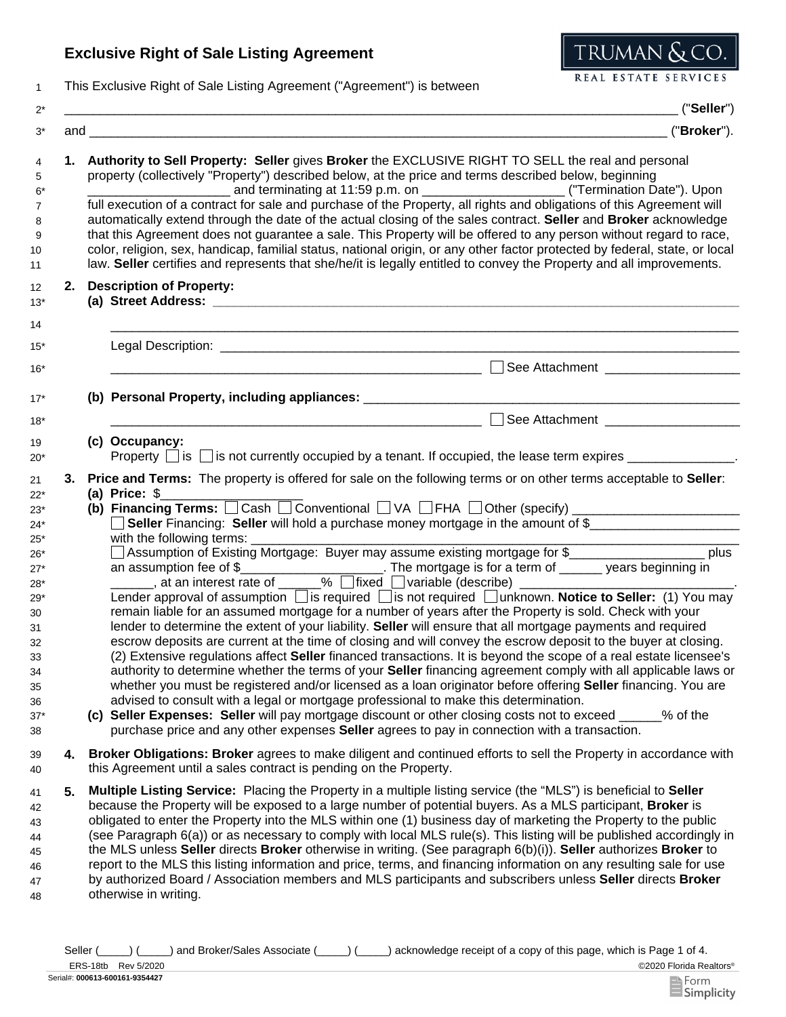## **Exclusive Right of Sale Listing Agreement**



1 This Exclusive Right of Sale Listing Agreement ("Agreement") is between

|    | ("Seller")                                                                                                                                                                                                                                                                                                                                                                                                                                                                                                                                                                                                                                                                                                                                                                                                                                                                                                                                                                                                                                                                                                                                                                                                                                                                                                                                                                                                                                                                                                                                                                                     |  |  |
|----|------------------------------------------------------------------------------------------------------------------------------------------------------------------------------------------------------------------------------------------------------------------------------------------------------------------------------------------------------------------------------------------------------------------------------------------------------------------------------------------------------------------------------------------------------------------------------------------------------------------------------------------------------------------------------------------------------------------------------------------------------------------------------------------------------------------------------------------------------------------------------------------------------------------------------------------------------------------------------------------------------------------------------------------------------------------------------------------------------------------------------------------------------------------------------------------------------------------------------------------------------------------------------------------------------------------------------------------------------------------------------------------------------------------------------------------------------------------------------------------------------------------------------------------------------------------------------------------------|--|--|
|    | ("Broker").                                                                                                                                                                                                                                                                                                                                                                                                                                                                                                                                                                                                                                                                                                                                                                                                                                                                                                                                                                                                                                                                                                                                                                                                                                                                                                                                                                                                                                                                                                                                                                                    |  |  |
|    | 1. Authority to Sell Property: Seller gives Broker the EXCLUSIVE RIGHT TO SELL the real and personal<br>property (collectively "Property") described below, at the price and terms described below, beginning<br>and terminating at 11:59 p.m. on _______________________________("Termination Date"). Upon<br>full execution of a contract for sale and purchase of the Property, all rights and obligations of this Agreement will<br>automatically extend through the date of the actual closing of the sales contract. Seller and Broker acknowledge<br>that this Agreement does not guarantee a sale. This Property will be offered to any person without regard to race,<br>color, religion, sex, handicap, familial status, national origin, or any other factor protected by federal, state, or local<br>law. Seller certifies and represents that she/he/it is legally entitled to convey the Property and all improvements.                                                                                                                                                                                                                                                                                                                                                                                                                                                                                                                                                                                                                                                          |  |  |
| 2. | <b>Description of Property:</b>                                                                                                                                                                                                                                                                                                                                                                                                                                                                                                                                                                                                                                                                                                                                                                                                                                                                                                                                                                                                                                                                                                                                                                                                                                                                                                                                                                                                                                                                                                                                                                |  |  |
|    |                                                                                                                                                                                                                                                                                                                                                                                                                                                                                                                                                                                                                                                                                                                                                                                                                                                                                                                                                                                                                                                                                                                                                                                                                                                                                                                                                                                                                                                                                                                                                                                                |  |  |
|    |                                                                                                                                                                                                                                                                                                                                                                                                                                                                                                                                                                                                                                                                                                                                                                                                                                                                                                                                                                                                                                                                                                                                                                                                                                                                                                                                                                                                                                                                                                                                                                                                |  |  |
|    | See Attachment ____________________                                                                                                                                                                                                                                                                                                                                                                                                                                                                                                                                                                                                                                                                                                                                                                                                                                                                                                                                                                                                                                                                                                                                                                                                                                                                                                                                                                                                                                                                                                                                                            |  |  |
|    | (b) Personal Property, including appliances: ___________________________________                                                                                                                                                                                                                                                                                                                                                                                                                                                                                                                                                                                                                                                                                                                                                                                                                                                                                                                                                                                                                                                                                                                                                                                                                                                                                                                                                                                                                                                                                                               |  |  |
|    |                                                                                                                                                                                                                                                                                                                                                                                                                                                                                                                                                                                                                                                                                                                                                                                                                                                                                                                                                                                                                                                                                                                                                                                                                                                                                                                                                                                                                                                                                                                                                                                                |  |  |
|    | (c) Occupancy:<br>Property $\Box$ is $\Box$ is not currently occupied by a tenant. If occupied, the lease term expires $\Box$                                                                                                                                                                                                                                                                                                                                                                                                                                                                                                                                                                                                                                                                                                                                                                                                                                                                                                                                                                                                                                                                                                                                                                                                                                                                                                                                                                                                                                                                  |  |  |
|    | (a) Price: $$$<br>(b) Financing Terms: Cash Conventional CVA CFHA COther (specify)<br>Seller Financing: Seller will hold a purchase money mortgage in the amount of \$<br>with the following terms:<br><u> 1989 - Jan James James Jan James James James James James James James James James James James James James James</u><br>□ Assumption of Existing Mortgage: Buyer may assume existing mortgage for \$_________<br>____________ plus<br>an assumption fee of \$<br>Lender approval of assumption ais required as not required annknown. Notice to Seller: (1) You may<br>remain liable for an assumed mortgage for a number of years after the Property is sold. Check with your<br>lender to determine the extent of your liability. Seller will ensure that all mortgage payments and required<br>escrow deposits are current at the time of closing and will convey the escrow deposit to the buyer at closing.<br>(2) Extensive regulations affect Seller financed transactions. It is beyond the scope of a real estate licensee's<br>authority to determine whether the terms of your Seller financing agreement comply with all applicable laws or<br>whether you must be registered and/or licensed as a loan originator before offering <b>Seller</b> financing. You are<br>advised to consult with a legal or mortgage professional to make this determination.<br>(c) Seller Expenses: Seller will pay mortgage discount or other closing costs not to exceed ______% of the<br>purchase price and any other expenses Seller agrees to pay in connection with a transaction. |  |  |
| 4. | Broker Obligations: Broker agrees to make diligent and continued efforts to sell the Property in accordance with<br>this Agreement until a sales contract is pending on the Property.                                                                                                                                                                                                                                                                                                                                                                                                                                                                                                                                                                                                                                                                                                                                                                                                                                                                                                                                                                                                                                                                                                                                                                                                                                                                                                                                                                                                          |  |  |
| 5. | Multiple Listing Service: Placing the Property in a multiple listing service (the "MLS") is beneficial to Seller<br>because the Property will be exposed to a large number of potential buyers. As a MLS participant, Broker is<br>obligated to enter the Property into the MLS within one (1) business day of marketing the Property to the public<br>(see Paragraph 6(a)) or as necessary to comply with local MLS rule(s). This listing will be published accordingly in<br>the MLS unless Seller directs Broker otherwise in writing. (See paragraph $6(b)(i)$ ). Seller authorizes Broker to<br>report to the MLS this listing information and price, terms, and financing information on any resulting sale for use<br>by authorized Board / Association members and MLS participants and subscribers unless Seller directs Broker<br>otherwise in writing.                                                                                                                                                                                                                                                                                                                                                                                                                                                                                                                                                                                                                                                                                                                              |  |  |

Seller (\_\_\_\_) (\_\_\_\_) and Broker/Sales Associate (\_\_\_\_) (\_\_\_\_) acknowledge receipt of a copy of this page, which is Page 1 of 4.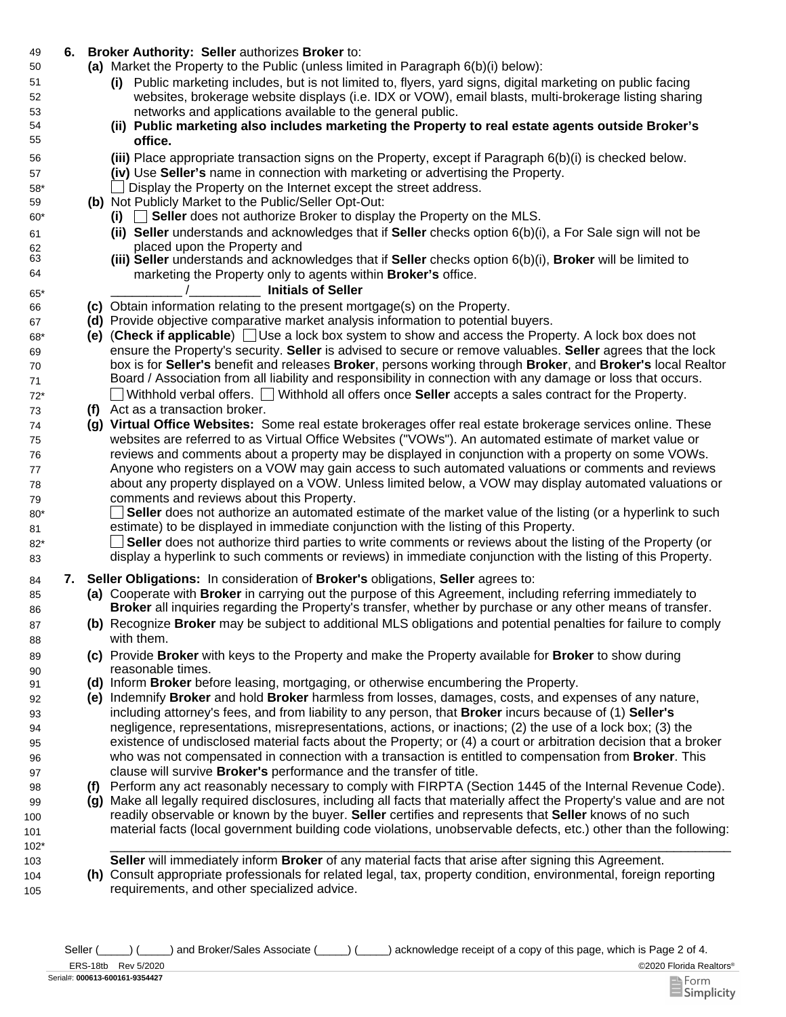## 49 **6. Broker Authority: Seller** authorizes **Broker** to:

- Market the Property to the Public (unless limited in Paragraph 6(b)(i) below): **(a)**
	- **(i)** Public marketing includes, but is not limited to, flyers, yard signs, digital marketing on public facing websites, brokerage website displays (i.e. IDX or VOW), email blasts, multi-brokerage listing sharing networks and applications available to the general public.
	- **(ii) Public marketing also includes marketing the Property to real estate agents outside Broker's office.**
	- Place appropriate transaction signs on the Property, except if Paragraph 6(b)(i) is checked below. **(iii)**
	- **(iv)** Use **Seller's** name in connection with marketing or advertising the Property.
	- \_\_ Display the Property on the Internet except the street address.
- **(b)** Not Publicly Market to the Public/Seller Opt-Out:
	- **(i)** \_\_ **Seller** does not authorize Broker to display the Property on the MLS.
	- **(ii) Seller** understands and acknowledges that if **Seller** checks option 6(b)(i), a For Sale sign will not be placed upon the Property and
	- **(iii) Seller** understands and acknowledges that if **Seller** checks option 6(b)(i), **Broker** will be limited to marketing the Property only to agents within **Broker's** office.

## \_\_\_\_\_\_\_\_\_\_ /\_\_\_\_\_\_\_\_\_\_ **Initials of Seller**

- 66 **(c)** Obtain information relating to the present mortgage(s) on the Property.
- 67 **(d)** Provide objective comparative market analysis information to potential buyers.
- 68\* **(e)** (**Check if applicable**) Use a lock box system to show and access the Property. A lock box does not ensure the Property's security. **Seller** is advised to secure or remove valuables. **Seller** agrees that the lock box is for **Seller's** benefit and releases **Broker**, persons working through **Broker**, and **Broker's** local Realtor Board / Association from all liability and responsibility in connection with any damage or loss that occurs. 72\* Withhold verbal offers. Withhold all offers once **Seller** accepts a sales contract for the Property.
- 73 **(f)** Act as a transaction broker.

69 70 71

50

51 52 53

80\* 81

85 86

87 88

89 90

99 100 101

104 105

- 74 **(g) Virtual Office Websites:** Some real estate brokerages offer real estate brokerage services online. These websites are referred to as Virtual Office Websites ("VOWs"). An automated estimate of market value or reviews and comments about a property may be displayed in conjunction with a property on some VOWs. Anyone who registers on a VOW may gain access to such automated valuations or comments and reviews about any property displayed on a VOW. Unless limited below, a VOW may display automated valuations or comments and reviews about this Property.
	- $\mathbf{L}$ **Seller** does not authorize an automated estimate of the market value of the listing (or a hyperlink to such estimate) to be displayed in immediate conjunction with the listing of this Property.
- **Seller** does not authorize third parties to write comments or reviews about the listing of the Property (or display a hyperlink to such comments or reviews) in immediate conjunction with the listing of this Property. 82\* 83
- 84 **7. Seller Obligations:** In consideration of **Broker's** obligations, **Seller** agrees to:
	- **(a)** Cooperate with **Broker** in carrying out the purpose of this Agreement, including referring immediately to **Broker** all inquiries regarding the Property's transfer, whether by purchase or any other means of transfer.
	- **(b)** Recognize **Broker** may be subject to additional MLS obligations and potential penalties for failure to comply with them.
	- **(c)** Provide **Broker** with keys to the Property and make the Property available for **Broker** to show during reasonable times.
- 91 **(d)** Inform **Broker** before leasing, mortgaging, or otherwise encumbering the Property.
	- **(e)** Indemnify **Broker** and hold **Broker** harmless from losses, damages, costs, and expenses of any nature, including attorney's fees, and from liability to any person, that **Broker** incurs because of (1) **Seller's**  negligence, representations, misrepresentations, actions, or inactions; (2) the use of a lock box; (3) the existence of undisclosed material facts about the Property; or (4) a court or arbitration decision that a broker who was not compensated in connection with a transaction is entitled to compensation from **Broker**. This clause will survive **Broker's** performance and the transfer of title.
- 98 **(f)** Perform any act reasonably necessary to comply with FIRPTA (Section 1445 of the Internal Revenue Code).
	- **(g)** Make all legally required disclosures, including all facts that materially affect the Property's value and are not readily observable or known by the buyer. **Seller** certifies and represents that **Seller** knows of no such material facts (local government building code violations, unobservable defects, etc.) other than the following:
- 102\* \_\_\_\_\_\_\_\_\_\_\_\_\_\_\_\_\_\_\_\_\_\_\_\_\_\_\_\_\_\_\_\_\_\_\_\_\_\_\_\_\_\_\_\_\_\_\_\_\_\_\_\_\_\_\_\_\_\_\_\_\_\_\_\_\_\_\_\_\_\_\_\_\_\_\_\_\_\_\_\_\_\_\_\_\_\_\_ 103 **Seller** will immediately inform **Broker** of any material facts that arise after signing this Agreement.
	- **(h)** Consult appropriate professionals for related legal, tax, property condition, environmental, foreign reporting requirements, and other specialized advice.

Seller (  $\Box$ ) (
and Broker/Sales Associate (  $\Box$ ) acknowledge receipt of a copy of this page, which is Page 2 of 4.

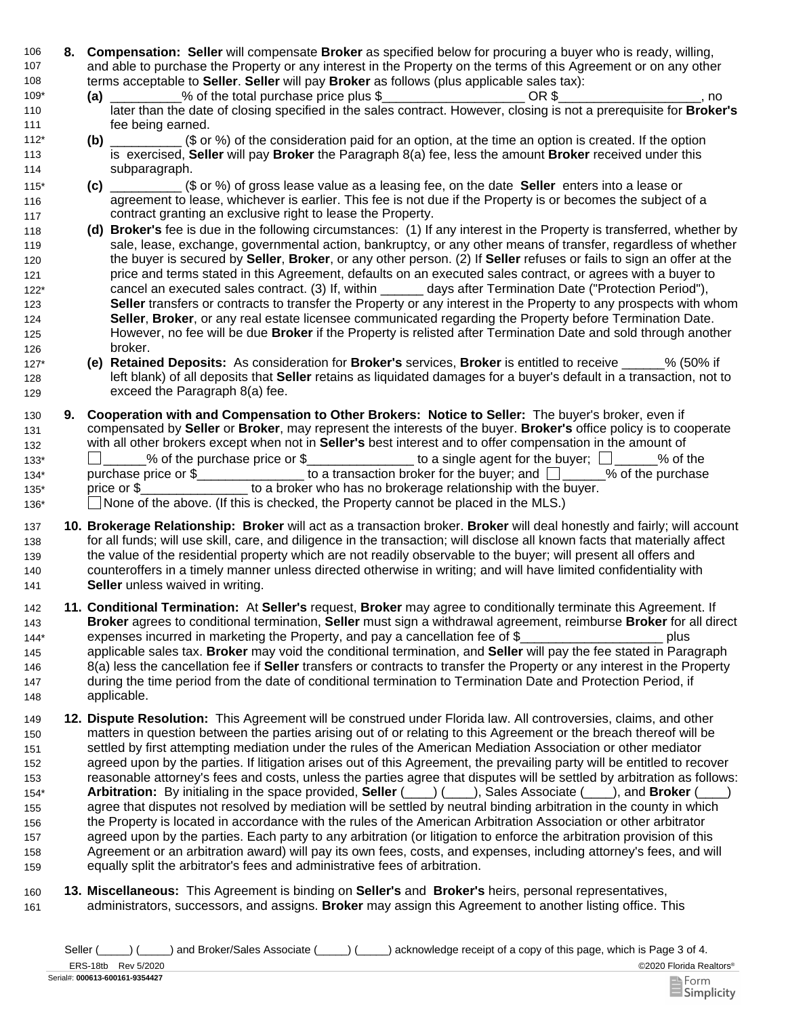- 106 **8. Compensation: Seller** will compensate **Broker** as specified below for procuring a buyer who is ready, willing, 107 108 and able to purchase the Property or any interest in the Property on the terms of this Agreement or on any other terms acceptable to **Seller**. **Seller** will pay **Broker** as follows (plus applicable sales tax):
- % of the total purchase price plus \$  $OR $$  OR \$ 109\* **(a)**
- later than the date of closing specified in the sales contract. However, closing is not a prerequisite for **Broker's** fee being earned. 110 111
- **(b)** \_\_\_\_\_\_\_\_\_\_ (\$ or %) of the consideration paid for an option, at the time an option is created. If the option is exercised, **Seller** will pay **Broker** the Paragraph 8(a) fee, less the amount **Broker** received under this subparagraph. 112\* 113 114
- **(c)** \_\_\_\_\_\_\_\_\_\_ (\$ or %) of gross lease value as a leasing fee, on the date **Seller** enters into a lease or agreement to lease, whichever is earlier. This fee is not due if the Property is or becomes the subject of a contract granting an exclusive right to lease the Property. 115\* 116 117
- 118 **(d) Broker's** fee is due in the following circumstances: (1) If any interest in the Property is transferred, whether by 119 120 121 122\* 123 124 125 126 sale, lease, exchange, governmental action, bankruptcy, or any other means of transfer, regardless of whether the buyer is secured by **Seller**, **Broker**, or any other person. (2) If **Seller** refuses or fails to sign an offer at the price and terms stated in this Agreement, defaults on an executed sales contract, or agrees with a buyer to cancel an executed sales contract. (3) If, within \_\_\_\_\_\_ days after Termination Date ("Protection Period"), **Seller** transfers or contracts to transfer the Property or any interest in the Property to any prospects with whom **Seller**, **Broker**, or any real estate licensee communicated regarding the Property before Termination Date. However, no fee will be due **Broker** if the Property is relisted after Termination Date and sold through another broker.
- 127\* **(e)**  128 129 **Retained Deposits:** As consideration for **Broker's** services, **Broker** is entitled to receive \_\_\_\_\_\_% (50% if left blank) of all deposits that **Seller** retains as liquidated damages for a buyer's default in a transaction, not to exceed the Paragraph 8(a) fee.
- 130 **9.**  131 132 133\* \_\_\_\_\_\_% of the purchase price or \$\_\_\_\_\_\_\_\_\_\_\_\_\_\_\_ to a single agent for the buyer; \_\_\_\_\_\_% of the 134\* purchase price or \$\_\_\_\_\_\_\_\_\_\_\_\_\_\_\_\_\_ to a transaction broker for the buyer; and  $\Box$ 135\* price or \$ to a broker who has no brokerage relationship with the buyer. 136\* 
None of the above. (If this is checked, the Property cannot be placed in the MLS.) **Cooperation with and Compensation to Other Brokers: Notice to Seller:** The buyer's broker, even if compensated by **Seller** or **Broker**, may represent the interests of the buyer. **Broker's** office policy is to cooperate with all other brokers except when not in **Seller's** best interest and to offer compensation in the amount of
- 137 **10. Brokerage Relationship: Broker** will act as a transaction broker. **Broker** will deal honestly and fairly; will account 138 139 140 141 for all funds; will use skill, care, and diligence in the transaction; will disclose all known facts that materially affect the value of the residential property which are not readily observable to the buyer; will present all offers and counteroffers in a timely manner unless directed otherwise in writing; and will have limited confidentiality with **Seller** unless waived in writing.
- 142 **11. Conditional Termination:** At **Seller's** request, **Broker** may agree to conditionally terminate this Agreement. If 143 144\* **Broker** agrees to conditional termination, **Seller** must sign a withdrawal agreement, reimburse **Broker** for all direct expenses incurred in marketing the Property, and pay a cancellation fee of \$ \_\_\_\_\_\_\_\_\_\_\_\_\_\_\_\_\_\_\_\_\_\_\_ plus
- 145 146 147 148 applicable sales tax. **Broker** may void the conditional termination, and **Seller** will pay the fee stated in Paragraph 8(a) less the cancellation fee if **Seller** transfers or contracts to transfer the Property or any interest in the Property during the time period from the date of conditional termination to Termination Date and Protection Period, if applicable.
- 149 **12. Dispute Resolution:** This Agreement will be construed under Florida law. All controversies, claims, and other 150 151 152 153 154\* 155 156 157 158 159 matters in question between the parties arising out of or relating to this Agreement or the breach thereof will be settled by first attempting mediation under the rules of the American Mediation Association or other mediator agreed upon by the parties. If litigation arises out of this Agreement, the prevailing party will be entitled to recover reasonable attorney's fees and costs, unless the parties agree that disputes will be settled by arbitration as follows: **Arbitration:** By initialing in the space provided, **Seller** (\_\_\_\_) (\_\_\_\_), Sales Associate (\_\_\_\_), and **Broker** (\_\_\_\_) agree that disputes not resolved by mediation will be settled by neutral binding arbitration in the county in which the Property is located in accordance with the rules of the American Arbitration Association or other arbitrator agreed upon by the parties. Each party to any arbitration (or litigation to enforce the arbitration provision of this Agreement or an arbitration award) will pay its own fees, costs, and expenses, including attorney's fees, and will equally split the arbitrator's fees and administrative fees of arbitration.
- 161 160 **Miscellaneous:** This Agreement is binding on **Seller's** and **Broker's** heirs, personal representatives, **13.**administrators, successors, and assigns. **Broker** may assign this Agreement to another listing office. This